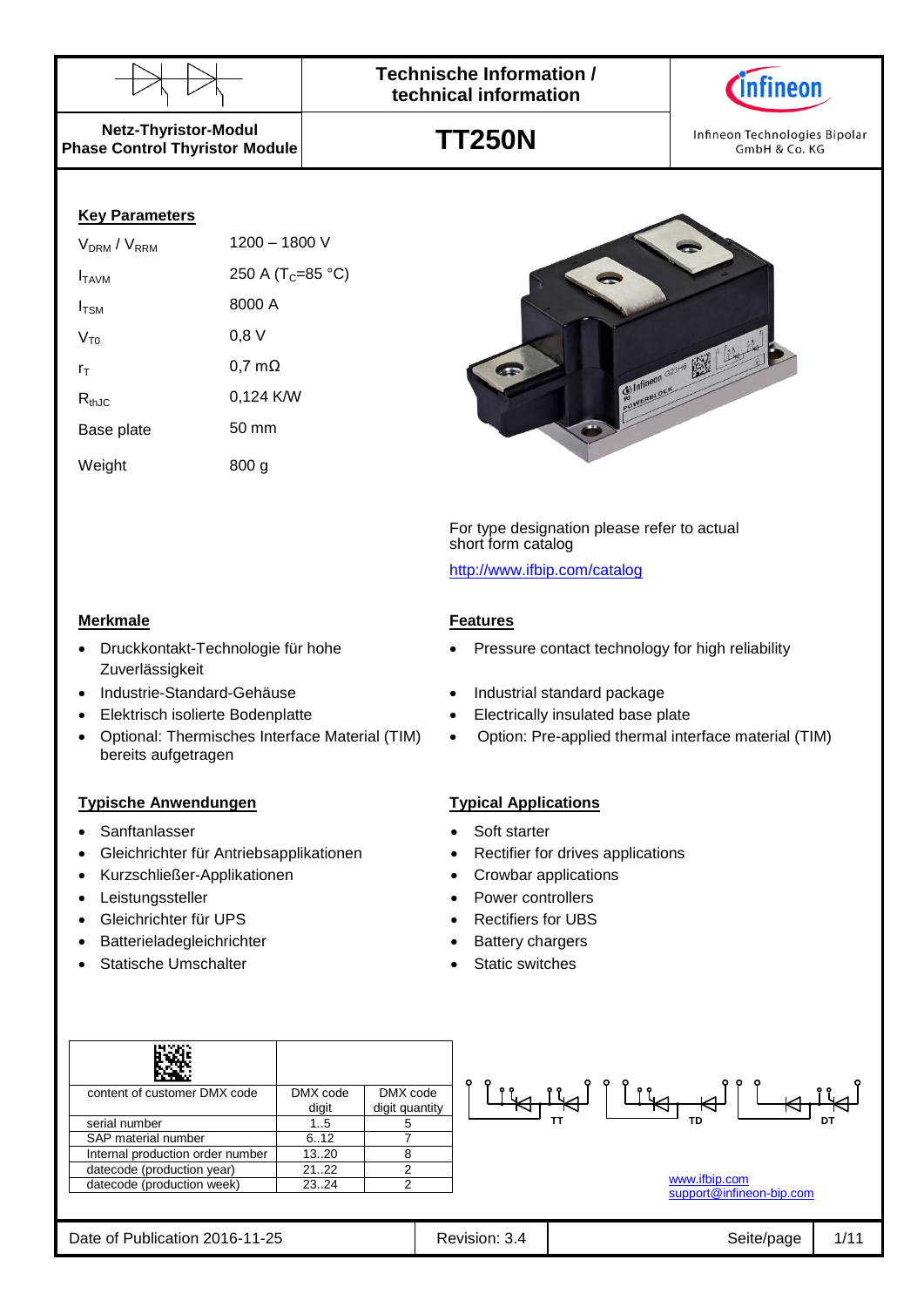



Infineon Technologies Bipolar GmbH & Co. KG

**Netz-Thyristor-Modul Phase Control Thyristor Module**

#### **Key Parameters**

| $V_{DRM}$ / $V_{RRM}$ | 1200 - 1800 V                 |
|-----------------------|-------------------------------|
| I <sub>TAVM</sub>     | 250 A (T <sub>C</sub> =85 °C) |
| $I_{TSM}$             | 8000 A                        |
| $V_{\tau_0}$          | $0,8$ V                       |
| $r_{\text{T}}$        | $0,7 \text{ m}\Omega$         |
| $R_{thJC}$            | 0,124 K/W                     |
| Base plate            | $50 \text{ mm}$               |
| Weight                | 800 a                         |

Druckkontakt-Technologie für hohe

Optional: Thermisches Interface Material (TIM)

Zuverlässigkeit

bereits aufgetragen

# **TT250N**



For type designation please refer to actual short form catalog

<http://www.ifbip.com/catalog>

#### **Merkmale Features**

- Pressure contact technology for high reliability
- Industrie-Standard-Gehäuse **Industrial standard package**
- Elektrisch isolierte Bodenplatte **Electrically insulated base plate** Electrically insulated base plate
	- Option: Pre-applied thermal interface material (TIM)

#### **Typische Anwendungen Typical Applications**

- Sanftanlasser **Santtanlasser Soft starter Soft starter** 
	- Gleichrichter für Antriebsapplikationen **•** Rectifier for drives applications
- Kurzschließer-Applikationen Crowbar applications
- Leistungssteller **Controllers Power controllers**
- Gleichrichter für UPS Rectifiers for UBS
- Batterieladegleichrichter **abelief and the Stattery chargers**
- Statische Umschalter **Statische Umschalter Static switches**

| content of customer DMX code     | DMX code | DMX code       |
|----------------------------------|----------|----------------|
|                                  | digit    | digit quantity |
| serial number                    | 15       |                |
| SAP material number              | 6.12     |                |
| Internal production order number | 1320     |                |
| datecode (production year)       | 2122     | 2              |
| datecode (production week)       | 2324     |                |
|                                  |          |                |

|  | <b>MAAAN</b> ifhin com |  |
|--|------------------------|--|

[www.ifbip.com](http://www.ifbip.com/) [support@infineon-bip.com](mailto:support@infineon-bip.com)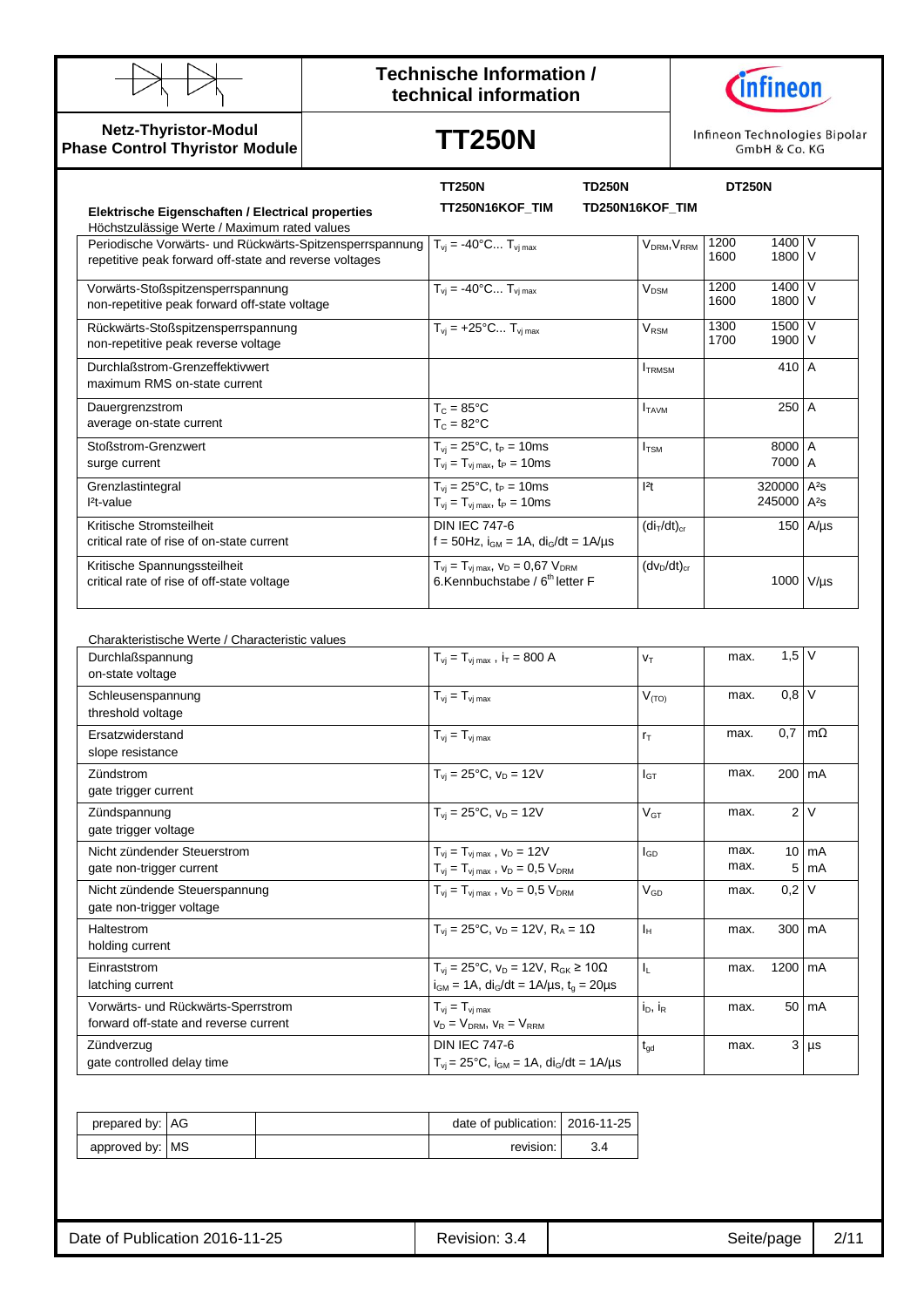

**Netz-Thyristor-Modul Phase Control Thyristor Module**

### **Technische Information / technical information**



# **TT250N**

Infineon Technologies Bipolar GmbH & Co. KG

|                                                                                                                                                                | <b>TT250N</b>                                                                                                                               | <b>TD250N</b>                       | <b>DT250N</b>                                      |                    |
|----------------------------------------------------------------------------------------------------------------------------------------------------------------|---------------------------------------------------------------------------------------------------------------------------------------------|-------------------------------------|----------------------------------------------------|--------------------|
| Elektrische Eigenschaften / Electrical properties<br>Höchstzulässige Werte / Maximum rated values                                                              | TT250N16KOF_TIM                                                                                                                             | TD250N16KOF_TIM                     |                                                    |                    |
| Periodische Vorwärts- und Rückwärts-Spitzensperrspannung $T_{vi} = -40^{\circ}$ C T <sub>vimax</sub><br>repetitive peak forward off-state and reverse voltages |                                                                                                                                             | V <sub>DRM</sub> , V <sub>RRM</sub> | 1400 V<br>1200<br>1800 V<br>1600                   |                    |
| Vorwärts-Stoßspitzensperrspannung<br>non-repetitive peak forward off-state voltage                                                                             | $T_{vi} = -40^{\circ}C T_{vi max}$                                                                                                          | V <sub>DSM</sub>                    | 1400 V<br>1200<br>1600<br>1800 V                   |                    |
| Rückwärts-Stoßspitzensperrspannung<br>non-repetitive peak reverse voltage                                                                                      | $T_{vi}$ = +25°C $T_{vi \, max}$                                                                                                            | $\rm V_{\rm RSM}$                   | 1500 V<br>1300<br>1900 V<br>1700                   |                    |
| Durchlaßstrom-Grenzeffektivwert<br>maximum RMS on-state current                                                                                                |                                                                                                                                             | $I_{TRMSM}$                         | 410 A                                              |                    |
| Dauergrenzstrom<br>average on-state current                                                                                                                    | $T_c = 85^{\circ}$ C<br>$T_c = 82$ °C                                                                                                       | $I_{TAVM}$                          | 250 A                                              |                    |
| Stoßstrom-Grenzwert<br>surge current                                                                                                                           | $T_{\rm vj} = 25^{\circ}C$ , $t_{\rm P} = 10$ ms<br>$T_{vj} = T_{vj \max}$ , $t_P = 10 \text{ms}$                                           | $I_{TSM}$                           | 8000 A<br>7000 A                                   |                    |
| Grenzlastintegral<br>l <sup>2</sup> t-value                                                                                                                    | $T_{vi} = 25^{\circ}C$ , $t_P = 10$ ms<br>$T_{\rm vj} = T_{\rm vj \, max}$ , t <sub>P</sub> = 10ms                                          | 2t                                  | 320000 A <sup>2</sup> s<br>245000 A <sup>2</sup> s |                    |
| Kritische Stromsteilheit<br>critical rate of rise of on-state current                                                                                          | <b>DIN IEC 747-6</b><br>$f = 50$ Hz, $i_{GM} = 1$ A, $di_G/dt = 1$ A/µs                                                                     | $(diT/dt)cr$                        |                                                    | 150 $A/\mu s$      |
| Kritische Spannungssteilheit<br>critical rate of rise of off-state voltage                                                                                     | $T_{\rm vj} = T_{\rm vj \, max}$ , $V_{\rm D} = 0.67 \; V_{\rm DRM}$<br>6.Kennbuchstabe / 6 <sup>th</sup> letter F                          | $(dv_D/dt)_{cr}$                    | 1000 V/µs                                          |                    |
| Charakteristische Werte / Characteristic values                                                                                                                |                                                                                                                                             |                                     |                                                    |                    |
| Durchlaßspannung<br>on-state voltage                                                                                                                           | $T_{vi} = T_{vi \, max}$ , $i_T = 800 \, \text{A}$                                                                                          | $V_T$                               | $1,5$ V<br>max.                                    |                    |
| Schleusenspannung<br>threshold voltage                                                                                                                         | $T_{vj} = T_{vj \, max}$                                                                                                                    | $V_{(TO)}$                          | $0,8$ V<br>max.                                    |                    |
| Ersatzwiderstand<br>slope resistance                                                                                                                           | $T_{vi} = T_{vi \, max}$                                                                                                                    | $r_T$                               | 0,7<br>max.                                        | $m\Omega$          |
| Zündstrom<br>gate trigger current                                                                                                                              | $T_{vi} = 25^{\circ}C$ , $v_D = 12V$                                                                                                        | $I_{GT}$                            | 200 mA<br>max.                                     |                    |
| Zündspannung<br>gate trigger voltage                                                                                                                           | $T_{vi} = 25^{\circ}C$ , $v_D = 12V$                                                                                                        | V <sub>GT</sub>                     | max.                                               | 2V                 |
| Nicht zündender Steuerstrom<br>gate non-trigger current                                                                                                        | $T_{vj} = T_{vj \max}$ , $v_D = 12V$<br>$T_{vi} = T_{vi \, max}$ , $V_D = 0.5 V_{DRM}$                                                      | l <sub>GD</sub>                     | max.<br>max.                                       | $10 \,$ mA<br>5 mA |
| Nicht zündende Steuerspannung<br>gate non-trigger voltage                                                                                                      | $T_{\rm vj} = T_{\rm vj \, max}$ , $V_{\rm D} = 0.5$ $V_{\rm DRM}$                                                                          | $\mathsf{V}_{\mathsf{GD}}$          | $0,2$ V<br>max.                                    |                    |
| Haltestrom<br>holding current                                                                                                                                  | $T_{vi} = 25^{\circ}C$ , $v_D = 12V$ , $R_A = 1\Omega$                                                                                      | $\mathsf{I}_{\mathsf{H}}$           | $300 \, \text{m}$ A<br>max.                        |                    |
| Einraststrom<br>latching current                                                                                                                               | $T_{\rm{vj}} = 25^{\circ}C$ , $v_D = 12V$ , $R_{\rm{GK}} \ge 10\Omega$<br>$i_{GM}$ = 1A, di <sub>G</sub> /dt = 1A/µs, t <sub>g</sub> = 20µs | $\mathsf{I}_\mathsf{L}$             | 1200 mA<br>max.                                    |                    |
| Vorwärts- und Rückwärts-Sperrstrom<br>forward off-state and reverse current                                                                                    | $T_{vi} = T_{vi \, max}$<br>$v_D = V_{DRM}$ , $v_R = V_{RRM}$                                                                               | i <sub>D</sub> , i <sub>R</sub>     | max.                                               | 50 mA              |
| Zündverzug<br>gate controlled delay time                                                                                                                       | <b>DIN IEC 747-6</b><br>$T_{\rm{vj}} = 25^{\circ}C$ , $i_{\rm{GM}} = 1A$ , $di_{\rm{G}}/dt = 1A/\mu s$                                      | $t_{\rm gd}$                        | max.                                               | $3 \mu s$          |

| prepared by: AG   |  | date of publication:   2016-11-25 |  |
|-------------------|--|-----------------------------------|--|
| approved by:   MS |  | revision:                         |  |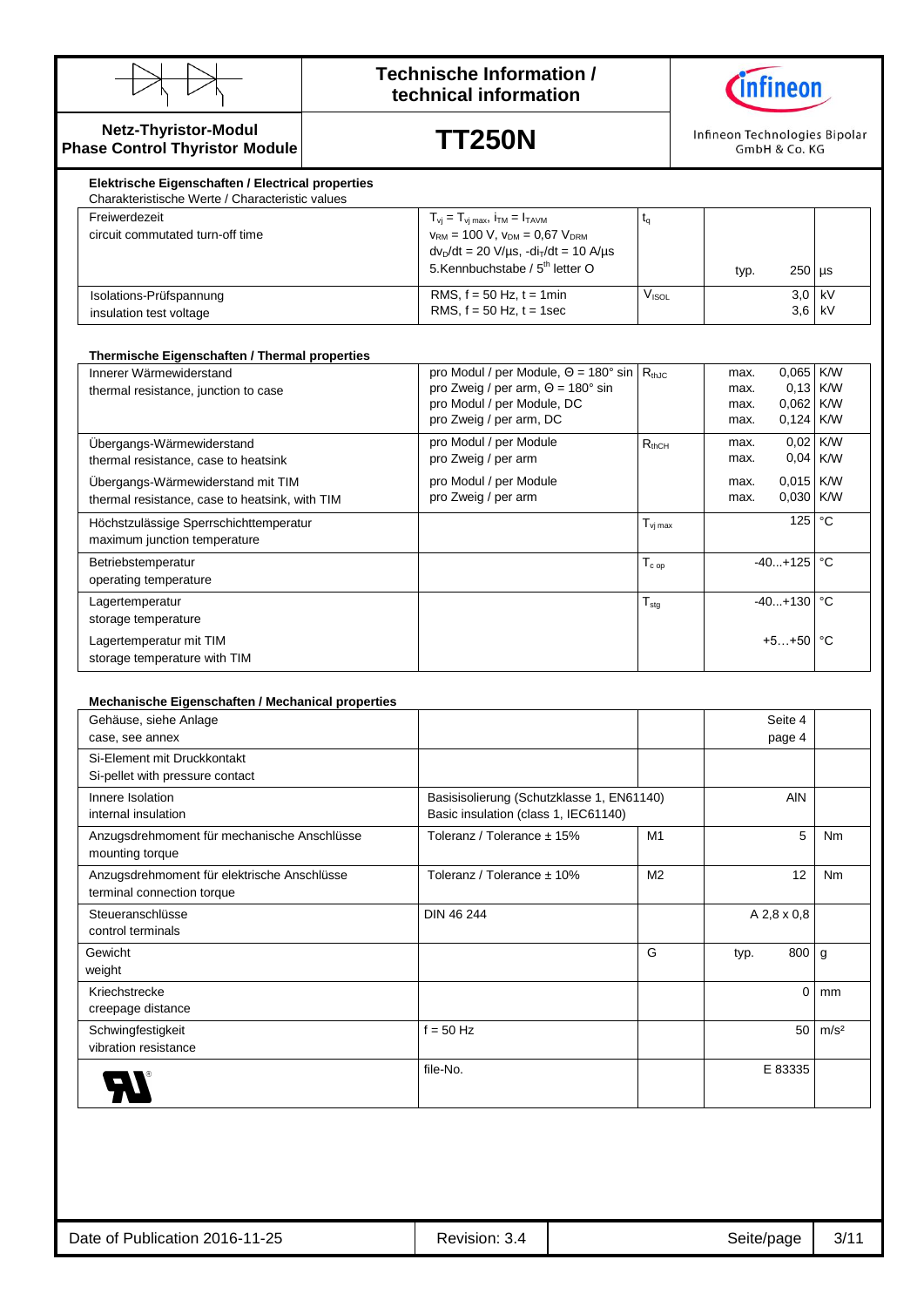

### **Technische Information / technical information**



#### **Netz-Thyristor-Modul Phase Control Thyristor Module**

**TT250N**

Infineon Technologies Bipolar GmbH & Co. KG

| Elektrische Eigenschaften / Electrical properties<br>Charakteristische Werte / Characteristic values |                                                                                                                                                                                                                                                    |                   |      |               |          |
|------------------------------------------------------------------------------------------------------|----------------------------------------------------------------------------------------------------------------------------------------------------------------------------------------------------------------------------------------------------|-------------------|------|---------------|----------|
| Freiwerdezeit<br>circuit commutated turn-off time                                                    | $T_{vi} = T_{vi \text{ max}}$ , $i_{TM} = I_{TAVM}$<br>$V_{\text{RM}}$ = 100 V, $V_{\text{DM}}$ = 0.67 $V_{\text{DRM}}$<br>$dv_D/dt = 20 \text{ V/}\mu\text{s}, -di_T/dt = 10 \text{ A/}\mu\text{s}$<br>5.Kennbuchstabe / 5 <sup>th</sup> letter O |                   | typ. | $250$ $\mu$ s |          |
| Isolations-Prüfspannung<br>insulation test voltage                                                   | RMS, $f = 50$ Hz, $t = 1$ min<br>RMS, $f = 50$ Hz, $t = 1$ sec                                                                                                                                                                                     | V <sub>ISOL</sub> |      | $3.0$ kV      | $3.6$ kV |

#### **Thermische Eigenschaften / Thermal properties**

| Innerer Wärmewiderstand                        | pro Modul / per Module, $\Theta = 180^\circ \sin   R_{thJC}$ |                             | max. | 0,065 K/W             |              |
|------------------------------------------------|--------------------------------------------------------------|-----------------------------|------|-----------------------|--------------|
| thermal resistance, junction to case           | pro Zweig / per arm, $\Theta$ = 180 $^{\circ}$ sin           |                             | max. | $0,13$ K/W            |              |
|                                                | pro Modul / per Module, DC                                   |                             | max. | 0,062 K/W             |              |
|                                                | pro Zweig / per arm, DC                                      |                             | max. | $0,124$ K/W           |              |
| Ubergangs-Wärmewiderstand                      | pro Modul / per Module                                       | $R_{thCH}$                  | max. | 0,02 K/W              |              |
| thermal resistance, case to heatsink           | pro Zweig / per arm                                          |                             | max. | $0,04$ K/W            |              |
| Übergangs-Wärmewiderstand mit TIM              | pro Modul / per Module                                       |                             | max. | $0.015$ K/W           |              |
| thermal resistance, case to heatsink, with TIM | pro Zweig / per arm                                          |                             | max. | $0.030$ K/W           |              |
| Höchstzulässige Sperrschichttemperatur         |                                                              | $T_{\rm vi\,max}$           |      | 125                   | $^{\circ}$ C |
| maximum junction temperature                   |                                                              |                             |      |                       |              |
| Betriebstemperatur                             |                                                              | ${\mathsf T}_{\text{c op}}$ |      | $-40+125$ $\degree$ C |              |
| operating temperature                          |                                                              |                             |      |                       |              |
| Lagertemperatur                                |                                                              | $T_{\text{stg}}$            |      | $-40+130$ °C          |              |
| storage temperature                            |                                                              |                             |      |                       |              |
| Lagertemperatur mit TIM                        |                                                              |                             |      | $+5+50$ $^{\circ}$ C  |              |
| storage temperature with TIM                   |                                                              |                             |      |                       |              |

#### **Mechanische Eigenschaften / Mechanical properties**

| Gehäuse, siehe Anlage                       |                                           |                |      | Seite 4     |                  |
|---------------------------------------------|-------------------------------------------|----------------|------|-------------|------------------|
| case, see annex                             |                                           |                |      | page 4      |                  |
| Si-Element mit Druckkontakt                 |                                           |                |      |             |                  |
| Si-pellet with pressure contact             |                                           |                |      |             |                  |
| Innere Isolation                            | Basisisolierung (Schutzklasse 1, EN61140) |                |      | <b>AIN</b>  |                  |
| internal insulation                         | Basic insulation (class 1, IEC61140)      |                |      |             |                  |
| Anzugsdrehmoment für mechanische Anschlüsse | Toleranz / Tolerance ± 15%                | M <sub>1</sub> |      | 5           | Nm               |
| mounting torque                             |                                           |                |      |             |                  |
| Anzugsdrehmoment für elektrische Anschlüsse | Toleranz / Tolerance ± 10%                | M <sub>2</sub> |      | 12          | Nm               |
| terminal connection torque                  |                                           |                |      |             |                  |
| Steueranschlüsse                            | DIN 46 244                                |                |      | A 2,8 x 0,8 |                  |
| control terminals                           |                                           |                |      |             |                  |
| Gewicht                                     |                                           | G              | typ. | 800         | g                |
| weight                                      |                                           |                |      |             |                  |
| Kriechstrecke                               |                                           |                |      | $\Omega$    | mm               |
| creepage distance                           |                                           |                |      |             |                  |
| Schwingfestigkeit                           | $f = 50$ Hz                               |                |      | 50          | m/s <sup>2</sup> |
| vibration resistance                        |                                           |                |      |             |                  |
|                                             | file-No.                                  |                |      | E 83335     |                  |
|                                             |                                           |                |      |             |                  |
|                                             |                                           |                |      |             |                  |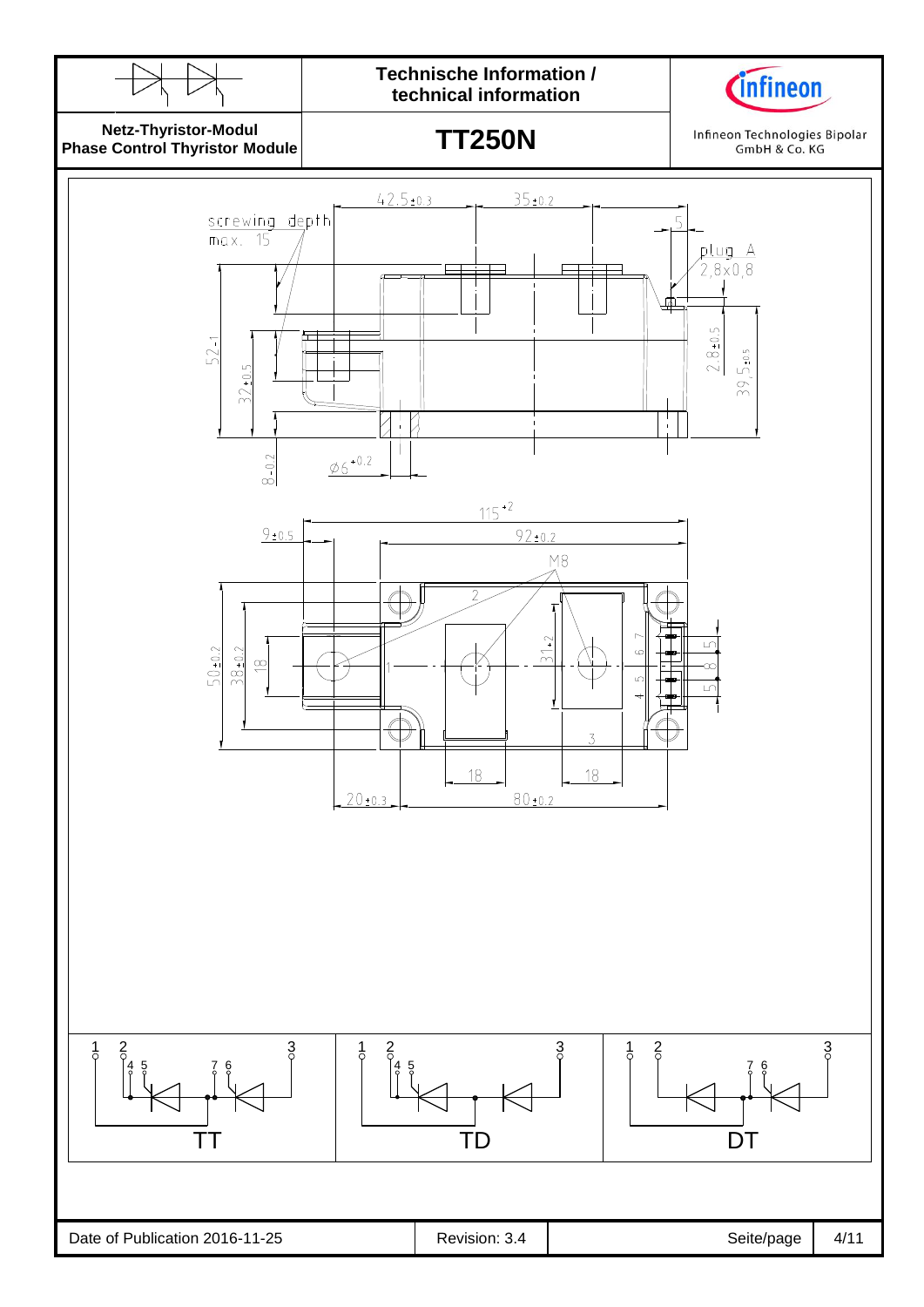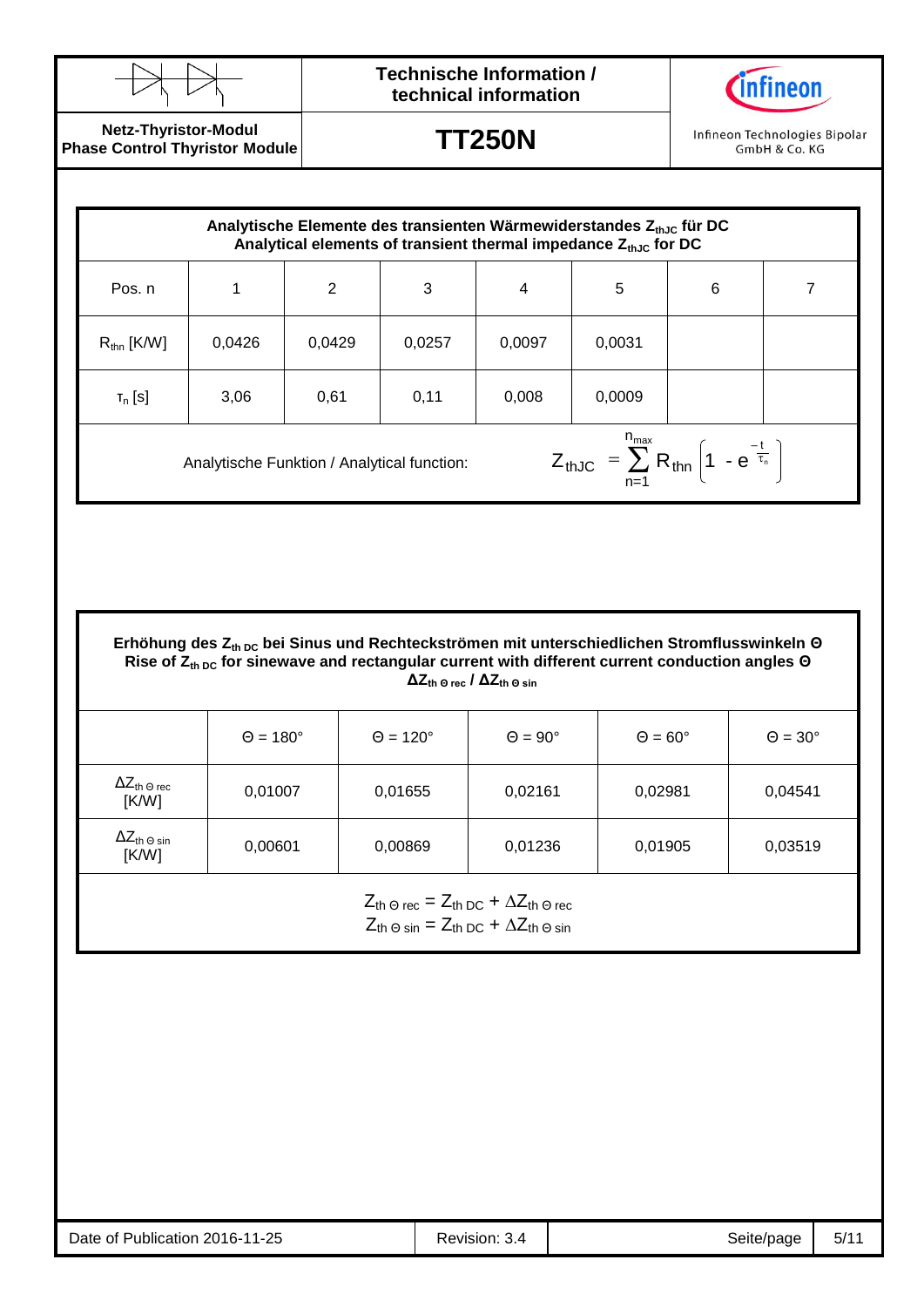

## **Technische Information / technical information**



**Netz-Thyristor-Modul Phase Control Thyristor Module**

**TT250N**

Infineon Technologies Bipolar GmbH & Co. KG

| Analytische Elemente des transienten Wärmewiderstandes $Z_{th,0}$ für DC<br>Analytical elements of transient thermal impedance $Z_{thJC}$ for DC |        |        |        |        |        |                 |   |
|--------------------------------------------------------------------------------------------------------------------------------------------------|--------|--------|--------|--------|--------|-----------------|---|
| Pos. n                                                                                                                                           |        | 2      | 3      | 4      | 5      | $6\phantom{1}6$ | 7 |
| $R_{\text{thn}}$ [K/W]                                                                                                                           | 0,0426 | 0,0429 | 0,0257 | 0,0097 | 0,0031 |                 |   |
| $T_n$ [S]                                                                                                                                        | 3,06   | 0,61   | 0,11   | 0,008  | 0,0009 |                 |   |
| $Z_{thJC} = \sum_{n=1}^{n_{max}} R_{thn} \left( 1 - e^{\frac{-t}{\tau_n}} \right)$<br>Analytische Funktion / Analytical function:                |        |        |        |        |        |                 |   |

**Erhöhung des Zth DC bei Sinus und Rechteckströmen mit unterschiedlichen Stromflusswinkeln Θ Rise of Zth DC for sinewave and rectangular current with different current conduction angles Θ ΔZth Θ rec / ΔZth Θ sin**

|                                                | $\Theta = 180^\circ$ | $\Theta = 120^\circ$ | $\Theta = 90^\circ$ | $\Theta = 60^\circ$ | $\Theta = 30^\circ$ |
|------------------------------------------------|----------------------|----------------------|---------------------|---------------------|---------------------|
| $\Delta Z_{\text{th}}$ $_{\odot}$ rec<br>[K/W] | 0,01007              | 0,01655              | 0,02161             | 0,02981             | 0,04541             |
| $\Delta Z_{\text{th}}$ $_{\odot}$ sin<br>[K/W] | 0,00601              | 0,00869              | 0,01236             | 0,01905             | 0,03519             |

 $Z_{\text{th}} \odot \text{rec} = Z_{\text{th DC}} + \Delta Z_{\text{th}} \odot \text{rec}$  $Z_{th\,\Theta\,\text{sin}} = Z_{th\,\text{DC}} + \Delta Z_{th\,\Theta\,\text{sin}}$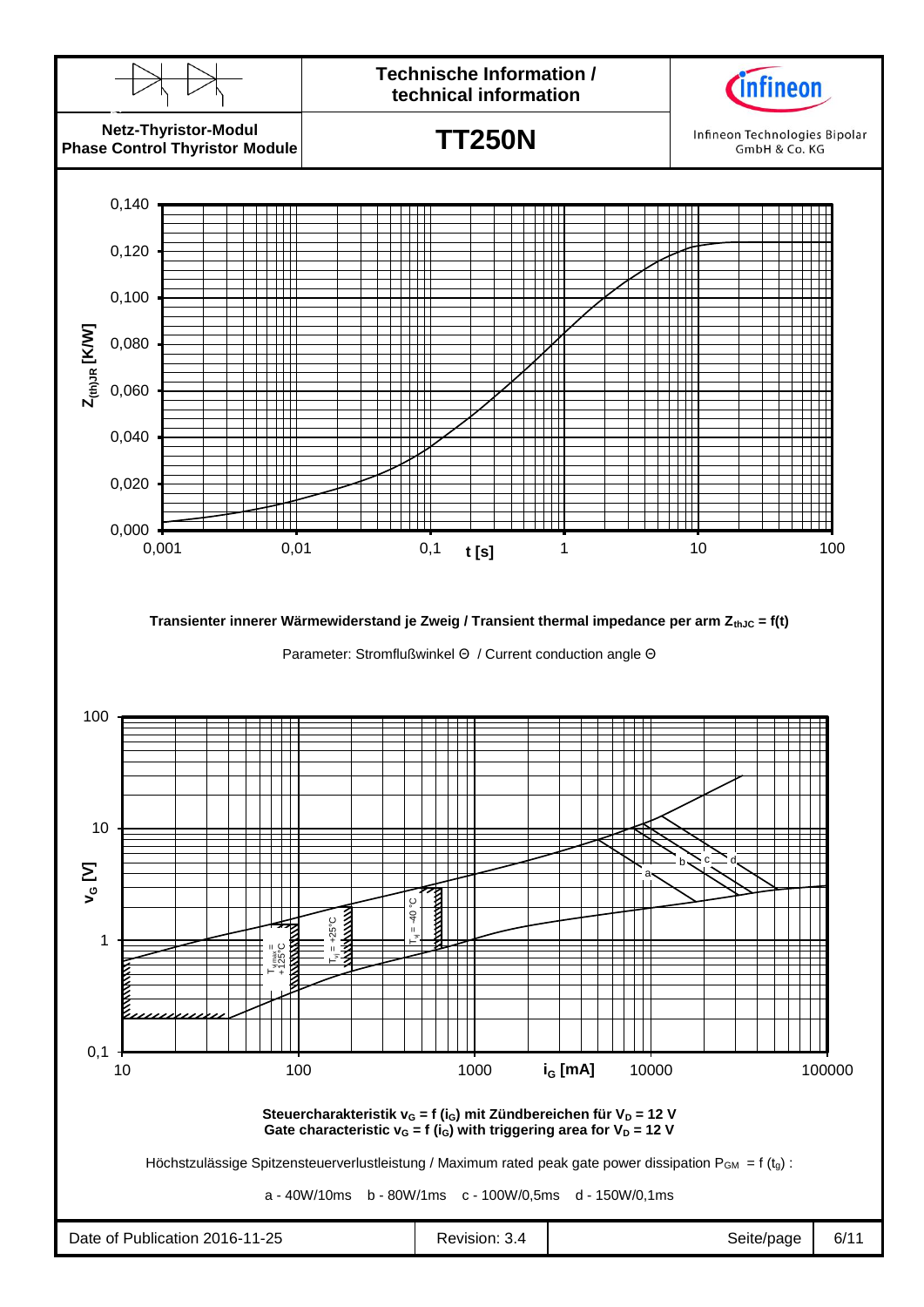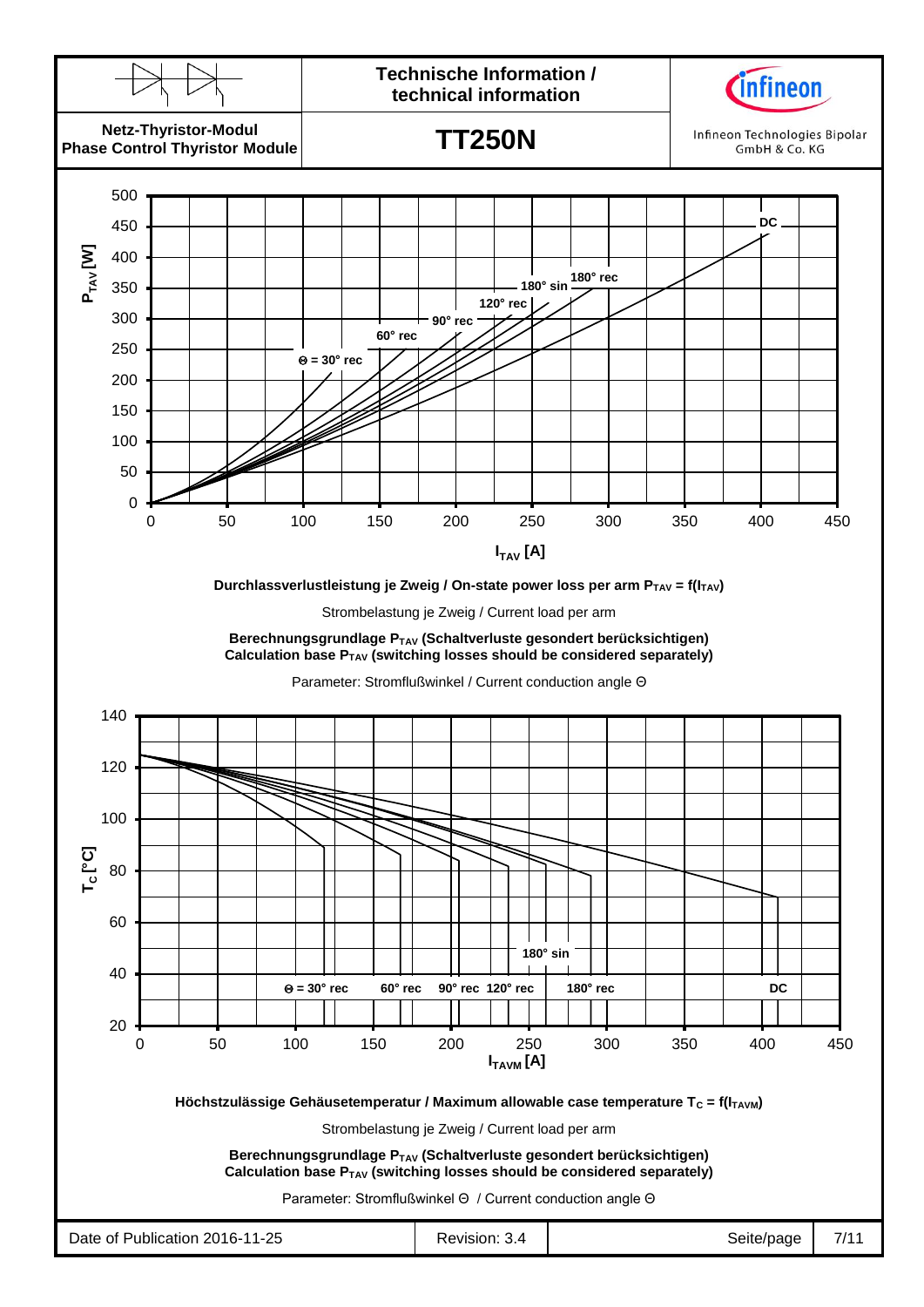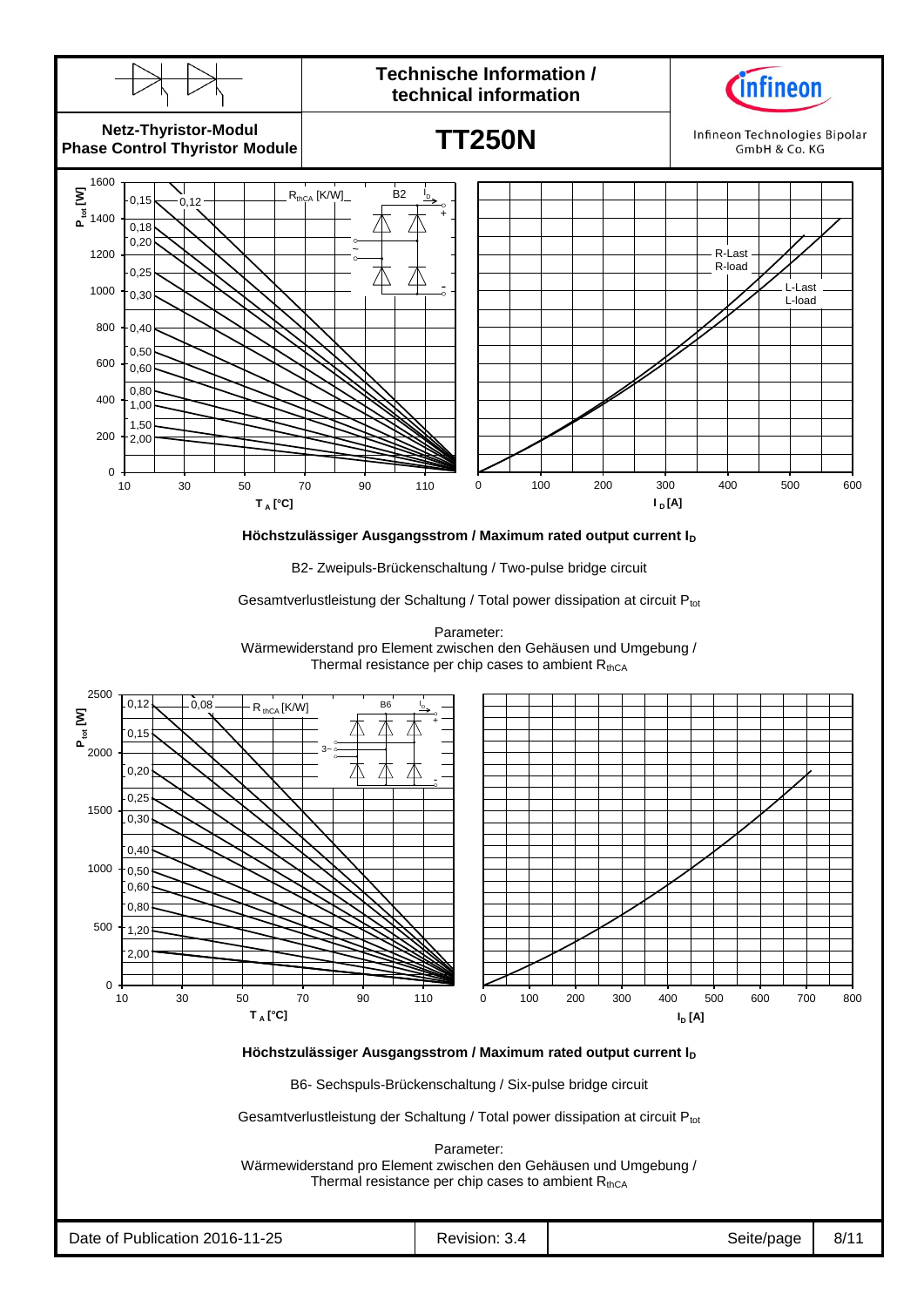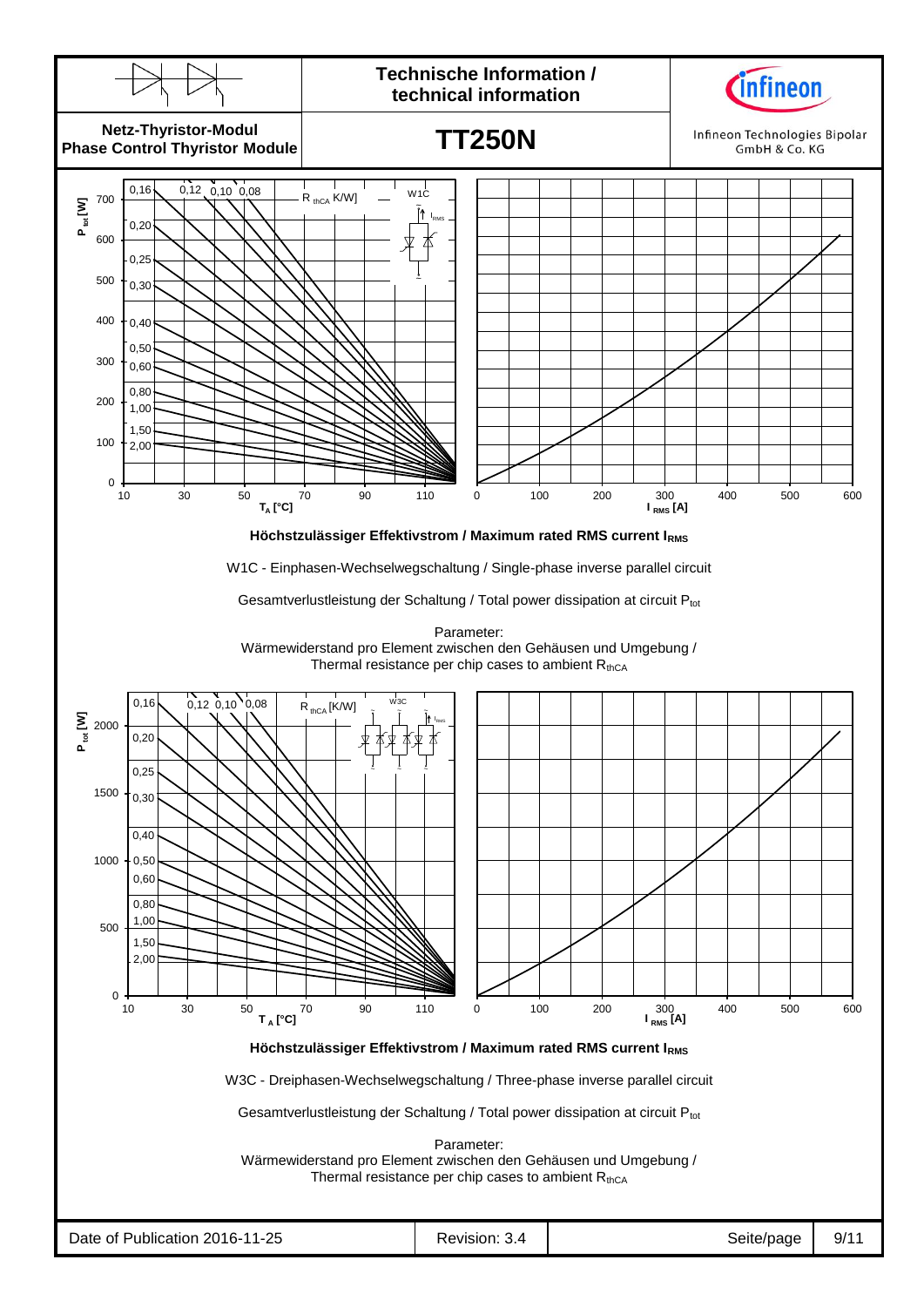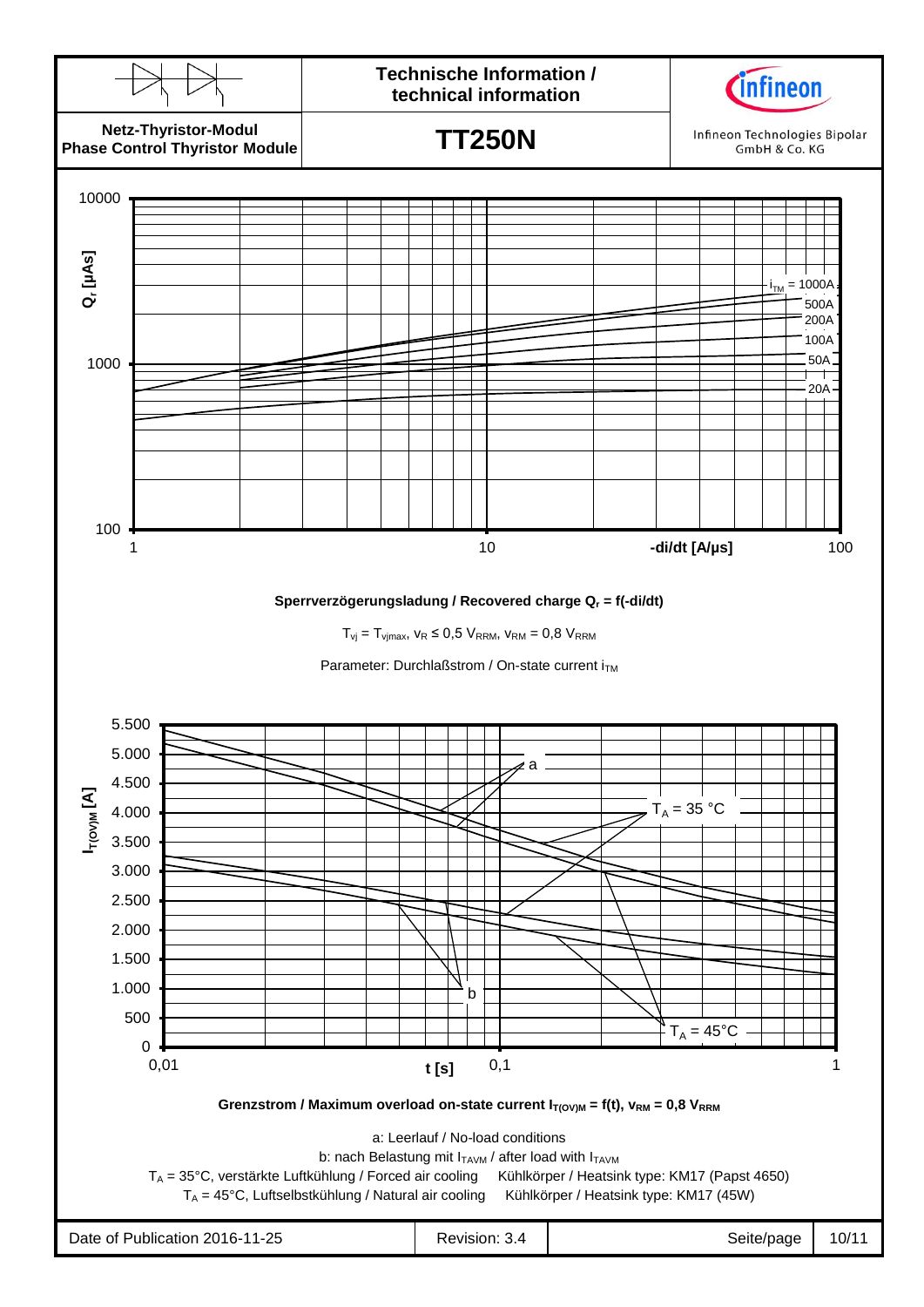